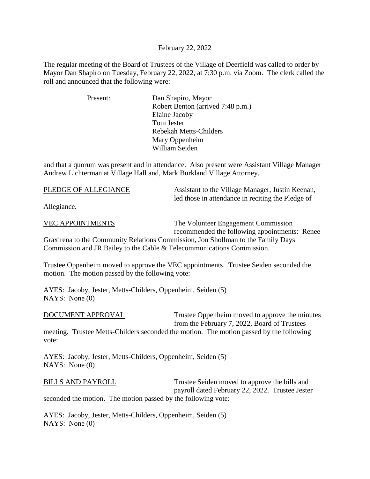## February 22, 2022

The regular meeting of the Board of Trustees of the Village of Deerfield was called to order by Mayor Dan Shapiro on Tuesday, February 22, 2022, at 7:30 p.m. via Zoom. The clerk called the roll and announced that the following were:

| Present: | Dan Shapiro, Mayor                |
|----------|-----------------------------------|
|          | Robert Benton (arrived 7:48 p.m.) |
|          | Elaine Jacoby                     |
|          | Tom Jester                        |
|          | Rebekah Metts-Childers            |
|          | Mary Oppenheim                    |
|          | William Seiden                    |

and that a quorum was present and in attendance. Also present were Assistant Village Manager Andrew Lichterman at Village Hall and, Mark Burkland Village Attorney.

| PLEDGE OF ALLEGIANCE | Assistant to the Village Manager, Justin Keenan,  |
|----------------------|---------------------------------------------------|
|                      | led those in attendance in reciting the Pledge of |

Allegiance.

VEC APPOINTMENTS The Volunteer Engagement Commission recommended the following appointments: Renee

Graxirena to the Community Relations Commission, Jon Shollman to the Family Days Commission and JR Bailey to the Cable & Telecommunications Commission.

Trustee Oppenheim moved to approve the VEC appointments. Trustee Seiden seconded the motion. The motion passed by the following vote:

AYES: Jacoby, Jester, Metts-Childers, Oppenheim, Seiden (5) NAYS: None (0)

| DOCUMENT APPROVAL | Trustee Oppenheim moved to approve the minutes<br>from the February 7, 2022, Board of Trustees |
|-------------------|------------------------------------------------------------------------------------------------|
|                   | meeting. Trustee Metts-Childers seconded the motion. The motion passed by the following        |
| vote:             |                                                                                                |

AYES: Jacoby, Jester, Metts-Childers, Oppenheim, Seiden (5) NAYS: None (0)

BILLS AND PAYROLL Trustee Seiden moved to approve the bills and payroll dated February 22, 2022. Trustee Jester seconded the motion. The motion passed by the following vote:

AYES: Jacoby, Jester, Metts-Childers, Oppenheim, Seiden (5) NAYS: None (0)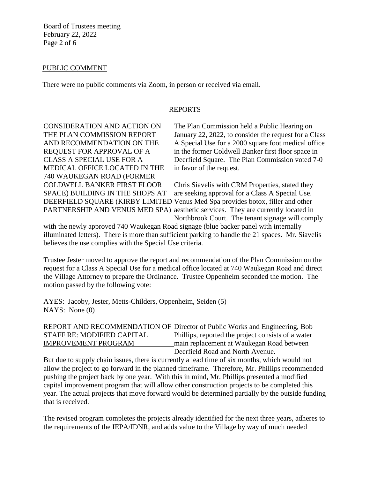Board of Trustees meeting February 22, 2022 Page 2 of 6

## PUBLIC COMMENT

There were no public comments via Zoom, in person or received via email.

### REPORTS

MEDICAL OFFICE LOCATED IN THE in favor of the request. 740 WAUKEGAN ROAD (FORMER

CONSIDERATION AND ACTION ON The Plan Commission held a Public Hearing on THE PLAN COMMISSION REPORT January 22, 2022, to consider the request for a Class AND RECOMMENDATION ON THE A Special Use for a 2000 square foot medical office REQUEST FOR APPROVAL OF A in the former Coldwell Banker first floor space in CLASS A SPECIAL USE FOR A Deerfield Square. The Plan Commission voted 7-0

COLDWELL BANKER FIRST FLOOR Chris Siavelis with CRM Properties, stated they SPACE) BUILDING IN THE SHOPS AT are seeking approval for a Class A Special Use. DEERFIELD SQUARE (KIRBY LIMITED Venus Med Spa provides botox, filler and other PARTNERSHIP AND VENUS MED SPA) aesthetic services. They are currently located in Northbrook Court. The tenant signage will comply

with the newly approved 740 Waukegan Road signage (blue backer panel with internally illuminated letters). There is more than sufficient parking to handle the 21 spaces. Mr. Siavelis believes the use complies with the Special Use criteria.

Trustee Jester moved to approve the report and recommendation of the Plan Commission on the request for a Class A Special Use for a medical office located at 740 Waukegan Road and direct the Village Attorney to prepare the Ordinance. Trustee Oppenheim seconded the motion. The motion passed by the following vote:

AYES: Jacoby, Jester, Metts-Childers, Oppenheim, Seiden (5) NAYS: None (0)

REPORT AND RECOMMENDATION OF Director of Public Works and Engineering, Bob STAFF RE: MODIFIED CAPITAL Phillips, reported the project consists of a water IMPROVEMENT PROGRAM main replacement at Waukegan Road between Deerfield Road and North Avenue.

But due to supply chain issues, there is currently a lead time of six months, which would not allow the project to go forward in the planned timeframe. Therefore, Mr. Phillips recommended pushing the project back by one year. With this in mind, Mr. Phillips presented a modified capital improvement program that will allow other construction projects to be completed this year. The actual projects that move forward would be determined partially by the outside funding that is received.

The revised program completes the projects already identified for the next three years, adheres to the requirements of the IEPA/IDNR, and adds value to the Village by way of much needed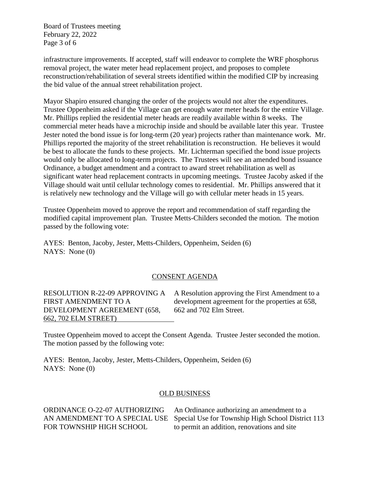Board of Trustees meeting February 22, 2022 Page 3 of 6

infrastructure improvements. If accepted, staff will endeavor to complete the WRF phosphorus removal project, the water meter head replacement project, and proposes to complete reconstruction/rehabilitation of several streets identified within the modified CIP by increasing the bid value of the annual street rehabilitation project.

Mayor Shapiro ensured changing the order of the projects would not alter the expenditures. Trustee Oppenheim asked if the Village can get enough water meter heads for the entire Village. Mr. Phillips replied the residential meter heads are readily available within 8 weeks. The commercial meter heads have a microchip inside and should be available later this year. Trustee Jester noted the bond issue is for long-term (20 year) projects rather than maintenance work. Mr. Phillips reported the majority of the street rehabilitation is reconstruction. He believes it would be best to allocate the funds to these projects. Mr. Lichterman specified the bond issue projects would only be allocated to long-term projects. The Trustees will see an amended bond issuance Ordinance, a budget amendment and a contract to award street rehabilitation as well as significant water head replacement contracts in upcoming meetings. Trustee Jacoby asked if the Village should wait until cellular technology comes to residential. Mr. Phillips answered that it is relatively new technology and the Village will go with cellular meter heads in 15 years.

Trustee Oppenheim moved to approve the report and recommendation of staff regarding the modified capital improvement plan. Trustee Metts-Childers seconded the motion. The motion passed by the following vote:

AYES: Benton, Jacoby, Jester, Metts-Childers, Oppenheim, Seiden (6) NAYS: None (0)

## CONSENT AGENDA

DEVELOPMENT AGREEMENT (658, 662 and 702 Elm Street. 662, 702 ELM STREET)

RESOLUTION R-22-09 APPROVING A A Resolution approving the First Amendment to a FIRST AMENDMENT TO A development agreement for the properties at 658,

Trustee Oppenheim moved to accept the Consent Agenda. Trustee Jester seconded the motion. The motion passed by the following vote:

AYES: Benton, Jacoby, Jester, Metts-Childers, Oppenheim, Seiden (6) NAYS: None (0)

#### OLD BUSINESS

ORDINANCE O-22-07 AUTHORIZING An Ordinance authorizing an amendment to a AN AMENDMENT TO A SPECIAL USE Special Use for Township High School District 113 FOR TOWNSHIP HIGH SCHOOL to permit an addition, renovations and site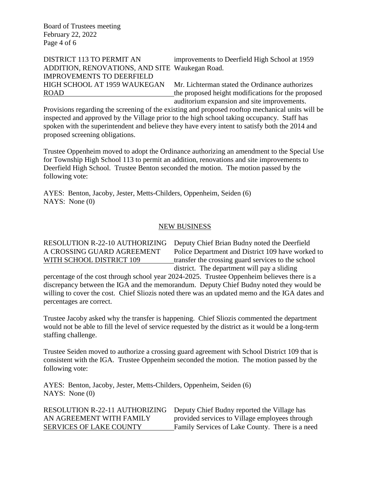Board of Trustees meeting February 22, 2022 Page 4 of 6

# ADDITION, RENOVATIONS, AND SITE Waukegan Road. IMPROVEMENTS TO DEERFIELD

DISTRICT 113 TO PERMIT AN improvements to Deerfield High School at 1959

HIGH SCHOOL AT 1959 WAUKEGAN Mr. Lichterman stated the Ordinance authorizes ROAD the proposed height modifications for the proposed auditorium expansion and site improvements.

Provisions regarding the screening of the existing and proposed rooftop mechanical units will be inspected and approved by the Village prior to the high school taking occupancy. Staff has spoken with the superintendent and believe they have every intent to satisfy both the 2014 and proposed screening obligations.

Trustee Oppenheim moved to adopt the Ordinance authorizing an amendment to the Special Use for Township High School 113 to permit an addition, renovations and site improvements to Deerfield High School. Trustee Benton seconded the motion. The motion passed by the following vote:

AYES: Benton, Jacoby, Jester, Metts-Childers, Oppenheim, Seiden (6) NAYS: None (0)

## NEW BUSINESS

RESOLUTION R-22-10 AUTHORIZING Deputy Chief Brian Budny noted the Deerfield A CROSSING GUARD AGREEMENT Police Department and District 109 have worked to WITH SCHOOL DISTRICT 109 transfer the crossing guard services to the school district. The department will pay a sliding

percentage of the cost through school year 2024-2025. Trustee Oppenheim believes there is a discrepancy between the IGA and the memorandum. Deputy Chief Budny noted they would be willing to cover the cost. Chief Sliozis noted there was an updated memo and the IGA dates and percentages are correct.

Trustee Jacoby asked why the transfer is happening. Chief Sliozis commented the department would not be able to fill the level of service requested by the district as it would be a long-term staffing challenge.

Trustee Seiden moved to authorize a crossing guard agreement with School District 109 that is consistent with the IGA. Trustee Oppenheim seconded the motion. The motion passed by the following vote:

AYES: Benton, Jacoby, Jester, Metts-Childers, Oppenheim, Seiden (6) NAYS: None (0)

RESOLUTION R-22-11 AUTHORIZING Deputy Chief Budny reported the Village has AN AGREEMENT WITH FAMILY provided services to Village employees through SERVICES OF LAKE COUNTY Family Services of Lake County. There is a need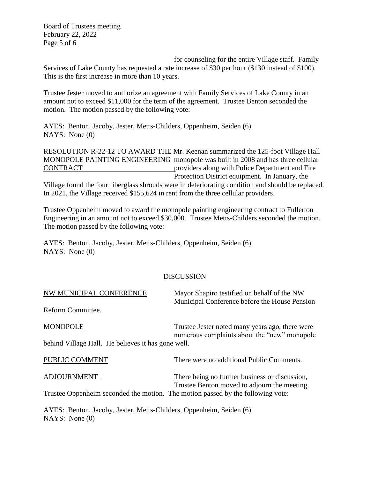Board of Trustees meeting February 22, 2022 Page 5 of 6

for counseling for the entire Village staff. Family Services of Lake County has requested a rate increase of \$30 per hour (\$130 instead of \$100). This is the first increase in more than 10 years.

Trustee Jester moved to authorize an agreement with Family Services of Lake County in an amount not to exceed \$11,000 for the term of the agreement. Trustee Benton seconded the motion. The motion passed by the following vote:

AYES: Benton, Jacoby, Jester, Metts-Childers, Oppenheim, Seiden (6) NAYS: None (0)

RESOLUTION R-22-12 TO AWARD THE Mr. Keenan summarized the 125-foot Village Hall MONOPOLE PAINTING ENGINEERING monopole was built in 2008 and has three cellular CONTRACT providers along with Police Department and Fire Protection District equipment. In January, the

Village found the four fiberglass shrouds were in deteriorating condition and should be replaced. In 2021, the Village received \$155,624 in rent from the three cellular providers.

Trustee Oppenheim moved to award the monopole painting engineering contract to Fullerton Engineering in an amount not to exceed \$30,000. Trustee Metts-Childers seconded the motion. The motion passed by the following vote:

AYES: Benton, Jacoby, Jester, Metts-Childers, Oppenheim, Seiden (6) NAYS: None (0)

## DISCUSSION

| NW MUNICIPAL CONFERENCE                                                                                                         | Mayor Shapiro testified on behalf of the NW<br>Municipal Conference before the House Pension |  |
|---------------------------------------------------------------------------------------------------------------------------------|----------------------------------------------------------------------------------------------|--|
| Reform Committee.                                                                                                               |                                                                                              |  |
| <b>MONOPOLE</b>                                                                                                                 | Trustee Jester noted many years ago, there were                                              |  |
| behind Village Hall. He believes it has gone well.                                                                              | numerous complaints about the "new" monopole                                                 |  |
| PUBLIC COMMENT                                                                                                                  | There were no additional Public Comments.                                                    |  |
| <b>ADJOURNMENT</b>                                                                                                              | There being no further business or discussion,                                               |  |
| Trustee Benton moved to adjourn the meeting.<br>Trustee Oppenheim seconded the motion. The motion passed by the following vote: |                                                                                              |  |
| AYES: Benton, Jacoby, Jester, Metts-Childers, Oppenheim, Seiden (6)<br>NAYS: None $(0)$                                         |                                                                                              |  |